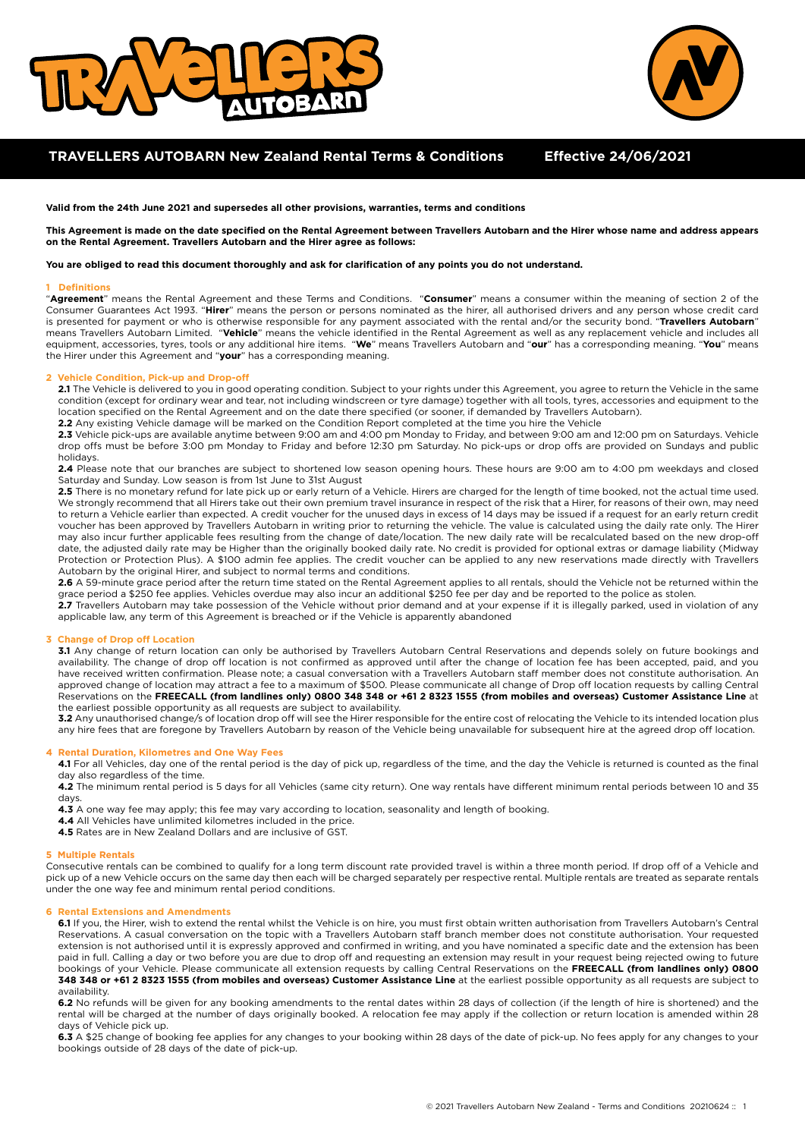



# **TRAVELLERS AUTOBARN New Zealand Rental Terms & Conditions Effective 24/06/2021**

**Valid from the 24th June 2021 and supersedes all other provisions, warranties, terms and conditions**

**This Agreement is made on the date specified on the Rental Agreement between Travellers Autobarn and the Hirer whose name and address appears on the Rental Agreement. Travellers Autobarn and the Hirer agree as follows:** 

### **You are obliged to read this document thoroughly and ask for clarification of any points you do not understand.**

### **1 Definitions**

"**Agreement**" means the Rental Agreement and these Terms and Conditions. "**Consumer**" means a consumer within the meaning of section 2 of the Consumer Guarantees Act 1993. "**Hirer**" means the person or persons nominated as the hirer, all authorised drivers and any person whose credit card is presented for payment or who is otherwise responsible for any payment associated with the rental and/or the security bond. "**Travellers Autobarn**" means Travellers Autobarn Limited. "**Vehicle**" means the vehicle identified in the Rental Agreement as well as any replacement vehicle and includes all equipment, accessories, tyres, tools or any additional hire items. "**We**" means Travellers Autobarn and "**our**" has a corresponding meaning. "**You**" means the Hirer under this Agreement and "**your**" has a corresponding meaning.

## **2 Vehicle Condition, Pick-up and Drop-off**

2.1 The Vehicle is delivered to you in good operating condition. Subject to your rights under this Agreement, you agree to return the Vehicle in the same condition (except for ordinary wear and tear, not including windscreen or tyre damage) together with all tools, tyres, accessories and equipment to the location specified on the Rental Agreement and on the date there specified (or sooner, if demanded by Travellers Autobarn).

**2.2** Any existing Vehicle damage will be marked on the Condition Report completed at the time you hire the Vehicle

**2.3** Vehicle pick-ups are available anytime between 9:00 am and 4:00 pm Monday to Friday, and between 9:00 am and 12:00 pm on Saturdays. Vehicle drop offs must be before 3:00 pm Monday to Friday and before 12:30 pm Saturday. No pick-ups or drop offs are provided on Sundays and public holidays.

**2.4** Please note that our branches are subject to shortened low season opening hours. These hours are 9:00 am to 4:00 pm weekdays and closed Saturday and Sunday. Low season is from 1st June to 31st August

**2.5** There is no monetary refund for late pick up or early return of a Vehicle. Hirers are charged for the length of time booked, not the actual time used. We strongly recommend that all Hirers take out their own premium travel insurance in respect of the risk that a Hirer, for reasons of their own, may need to return a Vehicle earlier than expected. A credit voucher for the unused days in excess of 14 days may be issued if a request for an early return credit voucher has been approved by Travellers Autobarn in writing prior to returning the vehicle. The value is calculated using the daily rate only. The Hirer may also incur further applicable fees resulting from the change of date/location. The new daily rate will be recalculated based on the new drop-off date, the adjusted daily rate may be Higher than the originally booked daily rate. No credit is provided for optional extras or damage liability (Midway Protection or Protection Plus). A \$100 admin fee applies. The credit voucher can be applied to any new reservations made directly with Travellers Autobarn by the original Hirer, and subject to normal terms and conditions.

**2.6** A 59-minute grace period after the return time stated on the Rental Agreement applies to all rentals, should the Vehicle not be returned within the grace period a \$250 fee applies. Vehicles overdue may also incur an additional \$250 fee per day and be reported to the police as stolen.

**2.7** Travellers Autobarn may take possession of the Vehicle without prior demand and at your expense if it is illegally parked, used in violation of any applicable law, any term of this Agreement is breached or if the Vehicle is apparently abandoned

## **3 Change of Drop off Location**

**3.1** Any change of return location can only be authorised by Travellers Autobarn Central Reservations and depends solely on future bookings and availability. The change of drop off location is not confirmed as approved until after the change of location fee has been accepted, paid, and you have received written confirmation. Please note; a casual conversation with a Travellers Autobarn staff member does not constitute authorisation. An approved change of location may attract a fee to a maximum of \$500. Please communicate all change of Drop off location requests by calling Central Reservations on the **FREECALL (from landlines only) 0800 348 348 or +61 2 8323 1555 (from mobiles and overseas) Customer Assistance Line** at the earliest possible opportunity as all requests are subject to availability.

**3.2** Any unauthorised change/s of location drop off will see the Hirer responsible for the entire cost of relocating the Vehicle to its intended location plus any hire fees that are foregone by Travellers Autobarn by reason of the Vehicle being unavailable for subsequent hire at the agreed drop off location.

### **4 Rental Duration, Kilometres and One Way Fees**

**4.1** For all Vehicles, day one of the rental period is the day of pick up, regardless of the time, and the day the Vehicle is returned is counted as the final day also regardless of the time.

**4.2** The minimum rental period is 5 days for all Vehicles (same city return). One way rentals have different minimum rental periods between 10 and 35 days.

**4.3** A one way fee may apply; this fee may vary according to location, seasonality and length of booking.

- **4.4** All Vehicles have unlimited kilometres included in the price.
- **4.5** Rates are in New Zealand Dollars and are inclusive of GST.

## **5 Multiple Rentals**

Consecutive rentals can be combined to qualify for a long term discount rate provided travel is within a three month period. If drop off of a Vehicle and pick up of a new Vehicle occurs on the same day then each will be charged separately per respective rental. Multiple rentals are treated as separate rentals under the one way fee and minimum rental period conditions.

## **6 Rental Extensions and Amendments**

**6.1** If you, the Hirer, wish to extend the rental whilst the Vehicle is on hire, you must first obtain written authorisation from Travellers Autobarn's Central Reservations. A casual conversation on the topic with a Travellers Autobarn staff branch member does not constitute authorisation. Your requested extension is not authorised until it is expressly approved and confirmed in writing, and you have nominated a specific date and the extension has been paid in full. Calling a day or two before you are due to drop off and requesting an extension may result in your request being rejected owing to future bookings of your Vehicle. Please communicate all extension requests by calling Central Reservations on the **FREECALL (from landlines only) 0800**  348 348 or +61 2 8323 1555 (from mobiles and overseas) Customer Assistance Line at the earliest possible opportunity as all requests are subject to availability.

**6.2** No refunds will be given for any booking amendments to the rental dates within 28 days of collection (if the length of hire is shortened) and the rental will be charged at the number of days originally booked. A relocation fee may apply if the collection or return location is amended within 28 days of Vehicle pick up.

**6.3** A \$25 change of booking fee applies for any changes to your booking within 28 days of the date of pick-up. No fees apply for any changes to your bookings outside of 28 days of the date of pick-up.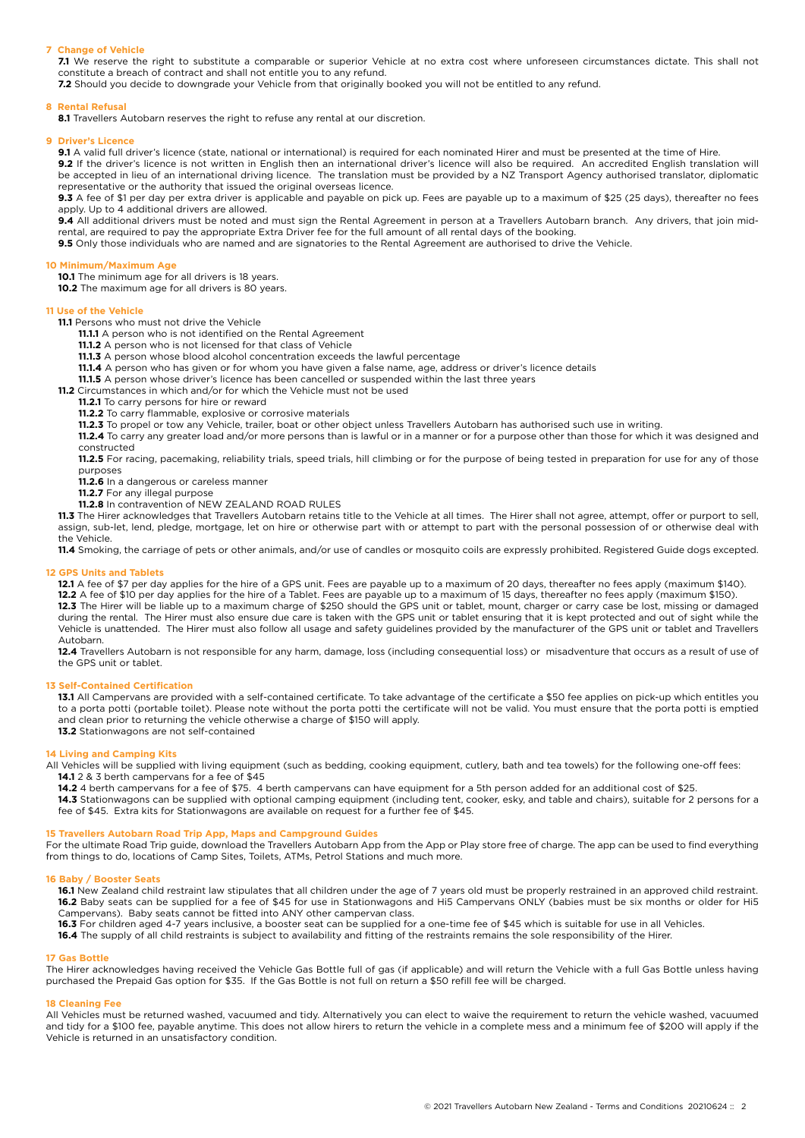## **7 Change of Vehicle**

**7.1** We reserve the right to substitute a comparable or superior Vehicle at no extra cost where unforeseen circumstances dictate. This shall not constitute a breach of contract and shall not entitle you to any refund.

**7.2** Should you decide to downgrade your Vehicle from that originally booked you will not be entitled to any refund.

### **8 Rental Refusal**

8.1 Travellers Autobarn reserves the right to refuse any rental at our discretion.

## **9 Driver's Licence**

**9.1** A valid full driver's licence (state, national or international) is required for each nominated Hirer and must be presented at the time of Hire.

**9.2** If the driver's licence is not written in English then an international driver's licence will also be required. An accredited English translation will be accepted in lieu of an international driving licence. The translation must be provided by a NZ Transport Agency authorised translator, diplomatic representative or the authority that issued the original overseas licence.

**9.3** A fee of \$1 per day per extra driver is applicable and payable on pick up. Fees are payable up to a maximum of \$25 (25 days), thereafter no fees apply. Up to 4 additional drivers are allowed.

**9.4** All additional drivers must be noted and must sign the Rental Agreement in person at a Travellers Autobarn branch. Any drivers, that join midrental, are required to pay the appropriate Extra Driver fee for the full amount of all rental days of the booking.

**9.5** Only those individuals who are named and are signatories to the Rental Agreement are authorised to drive the Vehicle.

## **10 Minimum/Maximum Age**

**10.1** The minimum age for all drivers is 18 years.

**10.2** The maximum age for all drivers is 80 years.

## **11 Use of the Vehicle**

- **11.1** Persons who must not drive the Vehicle
	- **11.1.1** A person who is not identified on the Rental Agreement
	- **11.1.2** A person who is not licensed for that class of Vehicle
	- **11.1.3** A person whose blood alcohol concentration exceeds the lawful percentage
	- **11.1.4** A person who has given or for whom you have given a false name, age, address or driver's licence details
	- **11.1.5** A person whose driver's licence has been cancelled or suspended within the last three years

**11.2** Circumstances in which and/or for which the Vehicle must not be used

**11.2.1** To carry persons for hire or reward

**11.2.2** To carry flammable, explosive or corrosive materials

**11.2.3** To propel or tow any Vehicle, trailer, boat or other object unless Travellers Autobarn has authorised such use in writing.

**11.2.4** To carry any greater load and/or more persons than is lawful or in a manner or for a purpose other than those for which it was designed and constructed

**11.2.5** For racing, pacemaking, reliability trials, speed trials, hill climbing or for the purpose of being tested in preparation for use for any of those purposes

- **11.2.6** In a dangerous or careless manner
- **11.2.7** For any illegal purpose
- **11.2.8** In contravention of NEW ZEALAND ROAD RULES

**11.3** The Hirer acknowledges that Travellers Autobarn retains title to the Vehicle at all times. The Hirer shall not agree, attempt, offer or purport to sell, assign, sub-let, lend, pledge, mortgage, let on hire or otherwise part with or attempt to part with the personal possession of or otherwise deal with the Vehicle.

**11.4** Smoking, the carriage of pets or other animals, and/or use of candles or mosquito coils are expressly prohibited. Registered Guide dogs excepted.

## **12 GPS Units and Tablets**

**12.1** A fee of \$7 per day applies for the hire of a GPS unit. Fees are payable up to a maximum of 20 days, thereafter no fees apply (maximum \$140).

**12.2** A fee of \$10 per day applies for the hire of a Tablet. Fees are payable up to a maximum of 15 days, thereafter no fees apply (maximum \$150).

**12.3** The Hirer will be liable up to a maximum charge of \$250 should the GPS unit or tablet, mount, charger or carry case be lost, missing or damaged during the rental. The Hirer must also ensure due care is taken with the GPS unit or tablet ensuring that it is kept protected and out of sight while the Vehicle is unattended. The Hirer must also follow all usage and safety guidelines provided by the manufacturer of the GPS unit or tablet and Travellers Autobarn.

**12.4** Travellers Autobarn is not responsible for any harm, damage, loss (including consequential loss) or misadventure that occurs as a result of use of the GPS unit or tablet.

## **13 Self-Contained Certification**

**13.1** All Campervans are provided with a self-contained certificate. To take advantage of the certificate a \$50 fee applies on pick-up which entitles you to a porta potti (portable toilet). Please note without the porta potti the certificate will not be valid. You must ensure that the porta potti is emptied and clean prior to returning the vehicle otherwise a charge of \$150 will apply. **13.2** Stationwagons are not self-contained

### **14 Living and Camping Kits**

All Vehicles will be supplied with living equipment (such as bedding, cooking equipment, cutlery, bath and tea towels) for the following one-off fees: **14.1** 2 & 3 berth campervans for a fee of \$45

14.2 4 berth campervans for a fee of \$75. 4 berth campervans can have equipment for a 5th person added for an additional cost of \$25.

**14.3** Stationwagons can be supplied with optional camping equipment (including tent, cooker, esky, and table and chairs), suitable for 2 persons for a fee of \$45. Extra kits for Stationwagons are available on request for a further fee of \$45.

## **15 Travellers Autobarn Road Trip App, Maps and Campground Guides**

For the ultimate Road Trip guide, download the Travellers Autobarn App from the App or Play store free of charge. The app can be used to find everything from things to do, locations of Camp Sites, Toilets, ATMs, Petrol Stations and much more.

### **16 Baby / Booster Seats**

**16.1** New Zealand child restraint law stipulates that all children under the age of 7 years old must be properly restrained in an approved child restraint. **16.2** Baby seats can be supplied for a fee of \$45 for use in Stationwagons and Hi5 Campervans ONLY (babies must be six months or older for Hi5 Campervans). Baby seats cannot be fitted into ANY other campervan class.

**16.3** For children aged 4-7 years inclusive, a booster seat can be supplied for a one-time fee of \$45 which is suitable for use in all Vehicles.

**16.4** The supply of all child restraints is subject to availability and fitting of the restraints remains the sole responsibility of the Hirer.

### **17 Gas Bottle**

The Hirer acknowledges having received the Vehicle Gas Bottle full of gas (if applicable) and will return the Vehicle with a full Gas Bottle unless having purchased the Prepaid Gas option for \$35. If the Gas Bottle is not full on return a \$50 refill fee will be charged.

### **18 Cleaning Fee**

All Vehicles must be returned washed, vacuumed and tidy. Alternatively you can elect to waive the requirement to return the vehicle washed, vacuumed and tidy for a \$100 fee, payable anytime. This does not allow hirers to return the vehicle in a complete mess and a minimum fee of \$200 will apply if the Vehicle is returned in an unsatisfactory condition.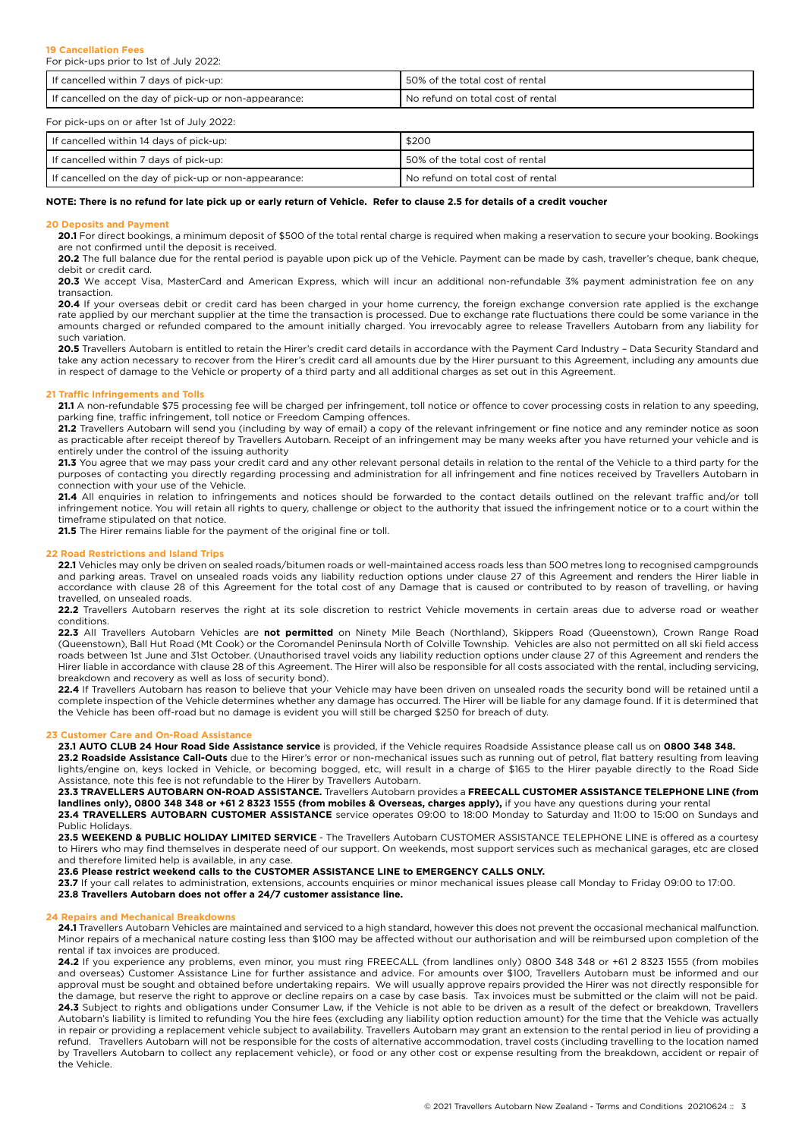| If cancelled within 7 days of pick-up:                  | 50% of the total cost of rental   |
|---------------------------------------------------------|-----------------------------------|
| I If cancelled on the day of pick-up or non-appearance: | No refund on total cost of rental |

For pick-ups on or after 1st of July 2022:

| If cancelled within 14 days of pick-up:               | \$200                               |
|-------------------------------------------------------|-------------------------------------|
| If cancelled within 7 days of pick-up:                | I 50% of the total cost of rental   |
| If cancelled on the day of pick-up or non-appearance: | I No refund on total cost of rental |

## **NOTE: There is no refund for late pick up or early return of Vehicle. Refer to clause 2.5 for details of a credit voucher**

### **20 Deposits and Payment**

20.1 For direct bookings, a minimum deposit of \$500 of the total rental charge is required when making a reservation to secure your booking. Bookings are not confirmed until the deposit is received.

20.2 The full balance due for the rental period is payable upon pick up of the Vehicle. Payment can be made by cash, traveller's cheque, bank cheque, debit or credit card.

20.3 We accept Visa, MasterCard and American Express, which will incur an additional non-refundable 3% payment administration fee on any transaction.

**20.4** If your overseas debit or credit card has been charged in your home currency, the foreign exchange conversion rate applied is the exchange rate applied by our merchant supplier at the time the transaction is processed. Due to exchange rate fluctuations there could be some variance in the amounts charged or refunded compared to the amount initially charged. You irrevocably agree to release Travellers Autobarn from any liability for such variation.

**20.5** Travellers Autobarn is entitled to retain the Hirer's credit card details in accordance with the Payment Card Industry – Data Security Standard and take any action necessary to recover from the Hirer's credit card all amounts due by the Hirer pursuant to this Agreement, including any amounts due in respect of damage to the Vehicle or property of a third party and all additional charges as set out in this Agreement.

## **21 Traffic Infringements and Tolls**

**21.1** A non-refundable \$75 processing fee will be charged per infringement, toll notice or offence to cover processing costs in relation to any speeding, parking fine, traffic infringement, toll notice or Freedom Camping offences.

**21.2** Travellers Autobarn will send you (including by way of email) a copy of the relevant infringement or fine notice and any reminder notice as soon as practicable after receipt thereof by Travellers Autobarn. Receipt of an infringement may be many weeks after you have returned your vehicle and is entirely under the control of the issuing authority

**21.3** You agree that we may pass your credit card and any other relevant personal details in relation to the rental of the Vehicle to a third party for the purposes of contacting you directly regarding processing and administration for all infringement and fine notices received by Travellers Autobarn in connection with your use of the Vehicle.

**21.4** All enquiries in relation to infringements and notices should be forwarded to the contact details outlined on the relevant traffic and/or toll infringement notice. You will retain all rights to query, challenge or object to the authority that issued the infringement notice or to a court within the timeframe stipulated on that notice.

**21.5** The Hirer remains liable for the payment of the original fine or toll.

## **22 Road Restrictions and Island Trips**

**22.1** Vehicles may only be driven on sealed roads/bitumen roads or well-maintained access roads less than 500 metres long to recognised campgrounds and parking areas. Travel on unsealed roads voids any liability reduction options under clause 27 of this Agreement and renders the Hirer liable in accordance with clause 28 of this Agreement for the total cost of any Damage that is caused or contributed to by reason of travelling, or having travelled, on unsealed roads.

**22.2** Travellers Autobarn reserves the right at its sole discretion to restrict Vehicle movements in certain areas due to adverse road or weather conditions.

**22.3** All Travellers Autobarn Vehicles are **not permitted** on Ninety Mile Beach (Northland), Skippers Road (Queenstown), Crown Range Road (Queenstown), Ball Hut Road (Mt Cook) or the Coromandel Peninsula North of Colville Township. Vehicles are also not permitted on all ski field access roads between 1st June and 31st October. (Unauthorised travel voids any liability reduction options under clause 27 of this Agreement and renders the Hirer liable in accordance with clause 28 of this Agreement. The Hirer will also be responsible for all costs associated with the rental, including servicing, breakdown and recovery as well as loss of security bond).

**22.4** If Travellers Autobarn has reason to believe that your Vehicle may have been driven on unsealed roads the security bond will be retained until a complete inspection of the Vehicle determines whether any damage has occurred. The Hirer will be liable for any damage found. If it is determined that the Vehicle has been off-road but no damage is evident you will still be charged \$250 for breach of duty.

### **23 Customer Care and On-Road Assistance**

**23.1 AUTO CLUB 24 Hour Road Side Assistance service** is provided, if the Vehicle requires Roadside Assistance please call us on **0800 348 348.**

**23.2 Roadside Assistance Call-Outs** due to the Hirer's error or non-mechanical issues such as running out of petrol, flat battery resulting from leaving lights/engine on, keys locked in Vehicle, or becoming bogged, etc, will result in a charge of \$165 to the Hirer payable directly to the Road Side Assistance, note this fee is not refundable to the Hirer by Travellers Autobarn.

**23.3 TRAVELLERS AUTOBARN ON-ROAD ASSISTANCE.** Travellers Autobarn provides a **FREECALL CUSTOMER ASSISTANCE TELEPHONE LINE (from**  landlines only), 0800 348 348 or +61 2 8323 1555 (from mobiles & Overseas, charges apply), if you have any questions during your rental **23.4 TRAVELLERS AUTOBARN CUSTOMER ASSISTANCE** service operates 09:00 to 18:00 Monday to Saturday and 11:00 to 15:00 on Sundays and Public Holidays.

**23.5 WEEKEND & PUBLIC HOLIDAY LIMITED SERVICE** - The Travellers Autobarn CUSTOMER ASSISTANCE TELEPHONE LINE is offered as a courtesy to Hirers who may find themselves in desperate need of our support. On weekends, most support services such as mechanical garages, etc are closed and therefore limited help is available, in any case.

**23.6 Please restrict weekend calls to the CUSTOMER ASSISTANCE LINE to EMERGENCY CALLS ONLY.**

**23.7** If your call relates to administration, extensions, accounts enquiries or minor mechanical issues please call Monday to Friday 09:00 to 17:00.

## **23.8 Travellers Autobarn does not offer a 24/7 customer assistance line.**

### **24 Repairs and Mechanical Breakdowns**

**24.1** Travellers Autobarn Vehicles are maintained and serviced to a high standard, however this does not prevent the occasional mechanical malfunction. Minor repairs of a mechanical nature costing less than \$100 may be affected without our authorisation and will be reimbursed upon completion of the rental if tax invoices are produced.

**24.2** If you experience any problems, even minor, you must ring FREECALL (from landlines only) 0800 348 348 or +61 2 8323 1555 (from mobiles and overseas) Customer Assistance Line for further assistance and advice. For amounts over \$100, Travellers Autobarn must be informed and our approval must be sought and obtained before undertaking repairs. We will usually approve repairs provided the Hirer was not directly responsible for the damage, but reserve the right to approve or decline repairs on a case by case basis. Tax invoices must be submitted or the claim will not be paid. **24.3** Subject to rights and obligations under Consumer Law, if the Vehicle is not able to be driven as a result of the defect or breakdown, Travellers Autobarn's liability is limited to refunding You the hire fees (excluding any liability option reduction amount) for the time that the Vehicle was actually in repair or providing a replacement vehicle subject to availability. Travellers Autobarn may grant an extension to the rental period in lieu of providing a refund. Travellers Autobarn will not be responsible for the costs of alternative accommodation, travel costs (including travelling to the location named by Travellers Autobarn to collect any replacement vehicle), or food or any other cost or expense resulting from the breakdown, accident or repair of the Vehicle.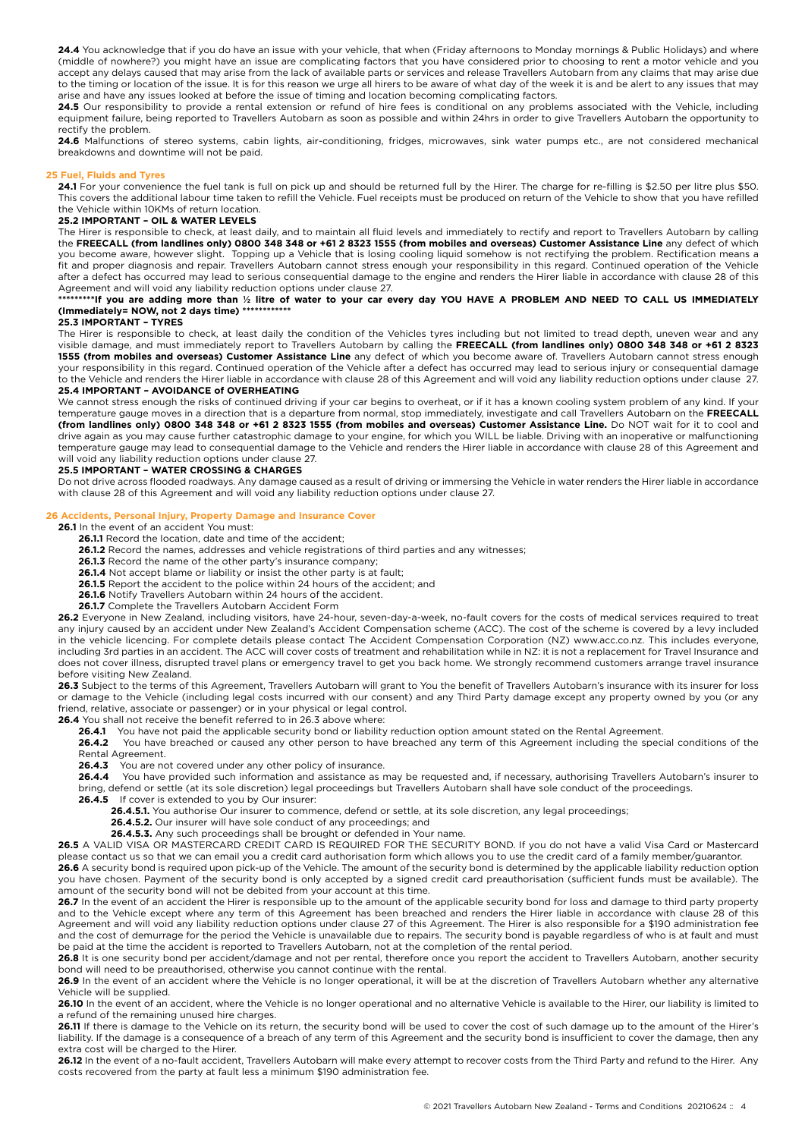24.4 You acknowledge that if you do have an issue with your vehicle, that when (Friday afternoons to Monday mornings & Public Holidays) and where (middle of nowhere?) you might have an issue are complicating factors that you have considered prior to choosing to rent a motor vehicle and you accept any delays caused that may arise from the lack of available parts or services and release Travellers Autobarn from any claims that may arise due to the timing or location of the issue. It is for this reason we urge all hirers to be aware of what day of the week it is and be alert to any issues that may arise and have any issues looked at before the issue of timing and location becoming complicating factors.

24.5 Our responsibility to provide a rental extension or refund of hire fees is conditional on any problems associated with the Vehicle, including equipment failure, being reported to Travellers Autobarn as soon as possible and within 24hrs in order to give Travellers Autobarn the opportunity to rectify the problem.

**24.6** Malfunctions of stereo systems, cabin lights, air-conditioning, fridges, microwaves, sink water pumps etc., are not considered mechanical breakdowns and downtime will not be paid.

## **25 Fuel, Fluids and Tyres**

24.1 For your convenience the fuel tank is full on pick up and should be returned full by the Hirer. The charge for re-filling is \$2.50 per litre plus \$50. This covers the additional labour time taken to refill the Vehicle. Fuel receipts must be produced on return of the Vehicle to show that you have refilled the Vehicle within 10KMs of return location.

### **25.2 IMPORTANT – OIL & WATER LEVELS**

The Hirer is responsible to check, at least daily, and to maintain all fluid levels and immediately to rectify and report to Travellers Autobarn by calling the **FREECALL (from landlines only) 0800 348 348 or +61 2 8323 1555 (from mobiles and overseas) Customer Assistance Line** any defect of which you become aware, however slight. Topping up a Vehicle that is losing cooling liquid somehow is not rectifying the problem. Rectification means a fit and proper diagnosis and repair. Travellers Autobarn cannot stress enough your responsibility in this regard. Continued operation of the Vehicle after a defect has occurred may lead to serious consequential damage to the engine and renders the Hirer liable in accordance with clause 28 of this Agreement and will void any liability reduction options under clause 27.

## **\*\*\*\*\*\*\*\*\*If you are adding more than ½ litre of water to your car every day YOU HAVE A PROBLEM AND NEED TO CALL US IMMEDIATELY (Immediately= NOW, not 2 days time) \*\*\*\*\*\*\*\*\*\*\*\***

## **25.3 IMPORTANT – TYRES**

The Hirer is responsible to check, at least daily the condition of the Vehicles tyres including but not limited to tread depth, uneven wear and any visible damage, and must immediately report to Travellers Autobarn by calling the **FREECALL (from landlines only) 0800 348 348 or +61 2 8323 1555 (from mobiles and overseas) Customer Assistance Line** any defect of which you become aware of. Travellers Autobarn cannot stress enough your responsibility in this regard. Continued operation of the Vehicle after a defect has occurred may lead to serious injury or consequential damage to the Vehicle and renders the Hirer liable in accordance with clause 28 of this Agreement and will void any liability reduction options under clause 27. **25.4 IMPORTANT – AVOIDANCE of OVERHEATING**

We cannot stress enough the risks of continued driving if your car begins to overheat, or if it has a known cooling system problem of any kind. If your temperature gauge moves in a direction that is a departure from normal, stop immediately, investigate and call Travellers Autobarn on the **FREECALL (from landlines only) 0800 348 348 or +61 2 8323 1555 (from mobiles and overseas) Customer Assistance Line.** Do NOT wait for it to cool and drive again as you may cause further catastrophic damage to your engine, for which you WILL be liable. Driving with an inoperative or malfunctioning temperature gauge may lead to consequential damage to the Vehicle and renders the Hirer liable in accordance with clause 28 of this Agreement and will void any liability reduction options under clause 27.

## **25.5 IMPORTANT – WATER CROSSING & CHARGES**

Do not drive across flooded roadways. Any damage caused as a result of driving or immersing the Vehicle in water renders the Hirer liable in accordance with clause 28 of this Agreement and will void any liability reduction options under clause 27.

### **26 Accidents, Personal Injury, Property Damage and Insurance Cover**

**26.1** In the event of an accident You must:

- **26.1.1** Record the location, date and time of the accident;
- **26.1.2** Record the names, addresses and vehicle registrations of third parties and any witnesses;
- **26.1.3** Record the name of the other party's insurance company;
- **26.1.4** Not accept blame or liability or insist the other party is at fault;
- **26.1.5** Report the accident to the police within 24 hours of the accident; and
- **26.1.6** Notify Travellers Autobarn within 24 hours of the accident.
- **26.1.7** Complete the Travellers Autobarn Accident Form

**26.2** Everyone in New Zealand, including visitors, have 24-hour, seven-day-a-week, no-fault covers for the costs of medical services required to treat any injury caused by an accident under New Zealand's Accident Compensation scheme (ACC). The cost of the scheme is covered by a levy included in the vehicle licencing. For complete details please contact The Accident Compensation Corporation (NZ) www.acc.co.nz. This includes everyone, including 3rd parties in an accident. The ACC will cover costs of treatment and rehabilitation while in NZ: it is not a replacement for Travel Insurance and does not cover illness, disrupted travel plans or emergency travel to get you back home. We strongly recommend customers arrange travel insurance before visiting New Zealand.

26.3 Subject to the terms of this Agreement, Travellers Autobarn will grant to You the benefit of Travellers Autobarn's insurance with its insurer for loss or damage to the Vehicle (including legal costs incurred with our consent) and any Third Party damage except any property owned by you (or any friend, relative, associate or passenger) or in your physical or legal control.

**26.4** You shall not receive the benefit referred to in 26.3 above where:<br>**26.41** You have not paid the applicable security bond or liability

26.4.1 You have not paid the applicable security bond or liability reduction option amount stated on the Rental Agreement.<br>26.4.2 You have breached or caused any other person to have breached any term of this Agreement inc

**26.4.2** You have breached or caused any other person to have breached any term of this Agreement including the special conditions of the Rental Agreement.

**26.4.3** You are not covered under any other policy of insurance.

26.4.4 You have provided such information and assistance as may be requested and, if necessary, authorising Travellers Autobarn's insurer to bring, defend or settle (at its sole discretion) legal proceedings but Travellers Autobarn shall have sole conduct of the proceedings.

- **26.4.5** If cover is extended to you by Our insurer:
	- **26.4.5.1.** You authorise Our insurer to commence, defend or settle, at its sole discretion, any legal proceedings;
	- **26.4.5.2.** Our insurer will have sole conduct of any proceedings; and
	- **26.4.5.3.** Any such proceedings shall be brought or defended in Your name.
- **26.5** A VALID VISA OR MASTERCARD CREDIT CARD IS REQUIRED FOR THE SECURITY BOND. If you do not have a valid Visa Card or Mastercard please contact us so that we can email you a credit card authorisation form which allows you to use the credit card of a family member/guarantor. **26.6** A security bond is required upon pick-up of the Vehicle. The amount of the security bond is determined by the applicable liability reduction option

you have chosen. Payment of the security bond is only accepted by a signed credit card preauthorisation (sufficient funds must be available). The amount of the security bond will not be debited from your account at this time.

26.7 In the event of an accident the Hirer is responsible up to the amount of the applicable security bond for loss and damage to third party property and to the Vehicle except where any term of this Agreement has been breached and renders the Hirer liable in accordance with clause 28 of this Agreement and will void any liability reduction options under clause 27 of this Agreement. The Hirer is also responsible for a \$190 administration fee and the cost of demurrage for the period the Vehicle is unavailable due to repairs. The security bond is payable regardless of who is at fault and must be paid at the time the accident is reported to Travellers Autobarn, not at the completion of the rental period.

**26.8** It is one security bond per accident/damage and not per rental, therefore once you report the accident to Travellers Autobarn, another security bond will need to be preauthorised, otherwise you cannot continue with the rental.

**26.9** In the event of an accident where the Vehicle is no longer operational, it will be at the discretion of Travellers Autobarn whether any alternative Vehicle will be supplied.

26.10 In the event of an accident, where the Vehicle is no longer operational and no alternative Vehicle is available to the Hirer, our liability is limited to a refund of the remaining unused hire charges.

**26.11** If there is damage to the Vehicle on its return, the security bond will be used to cover the cost of such damage up to the amount of the Hirer's liability. If the damage is a consequence of a breach of any term of this Agreement and the security bond is insufficient to cover the damage, then any extra cost will be charged to the Hirer.

26.12 In the event of a no-fault accident, Travellers Autobarn will make every attempt to recover costs from the Third Party and refund to the Hirer. Any costs recovered from the party at fault less a minimum \$190 administration fee.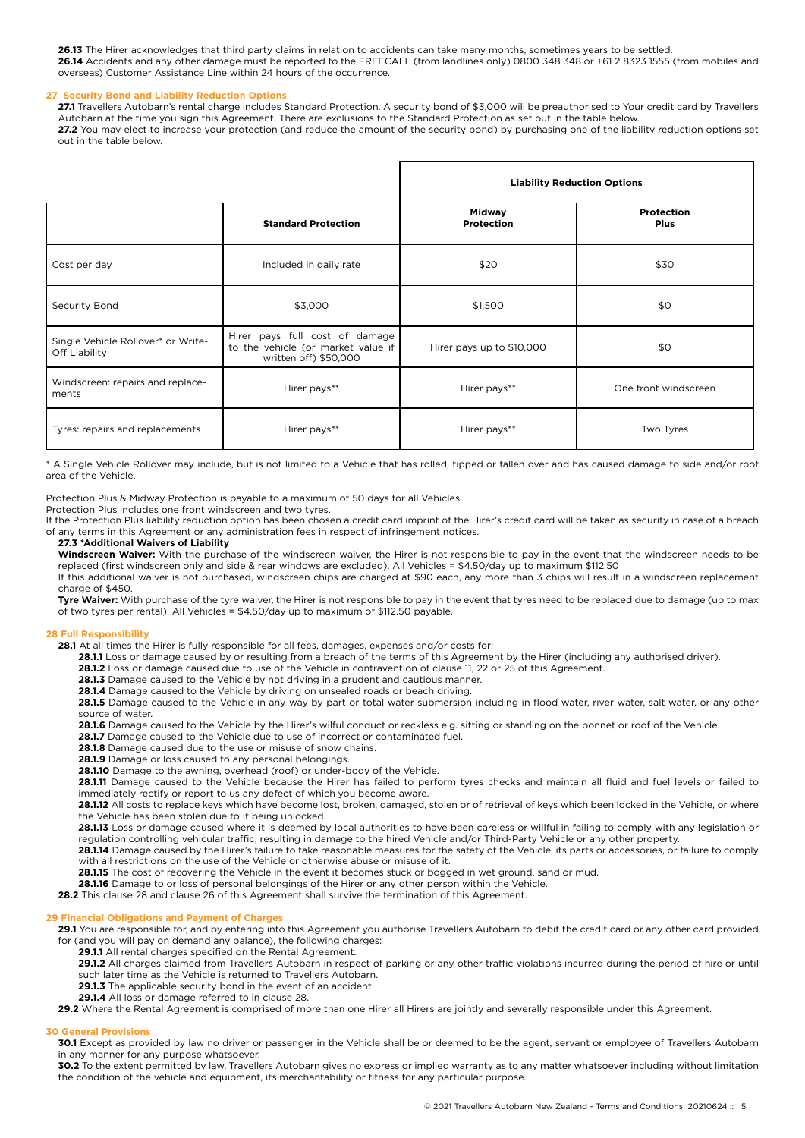**26.13** The Hirer acknowledges that third party claims in relation to accidents can take many months, sometimes years to be settled. **26.14** Accidents and any other damage must be reported to the FREECALL (from landlines only) 0800 348 348 or +61 2 8323 1555 (from mobiles and overseas) Customer Assistance Line within 24 hours of the occurrence.

## **27 Security Bond and Liability Reduction Options**

**27.1** Travellers Autobarn's rental charge includes Standard Protection. A security bond of \$3,000 will be preauthorised to Your credit card by Travellers Autobarn at the time you sign this Agreement. There are exclusions to the Standard Protection as set out in the table below. 27.2 You may elect to increase your protection (and reduce the amount of the security bond) by purchasing one of the liability reduction options set out in the table below.

|                                                     |                                                                                               | <b>Liability Reduction Options</b> |                           |
|-----------------------------------------------------|-----------------------------------------------------------------------------------------------|------------------------------------|---------------------------|
|                                                     | <b>Standard Protection</b>                                                                    | <b>Midway</b><br>Protection        | Protection<br><b>Plus</b> |
| Cost per day                                        | Included in daily rate                                                                        | \$20                               | \$30                      |
| Security Bond                                       | \$3,000                                                                                       | \$1,500                            | \$0                       |
| Single Vehicle Rollover* or Write-<br>Off Liability | Hirer pays full cost of damage<br>to the vehicle (or market value if<br>written off) \$50,000 | Hirer pays up to \$10,000          | \$0                       |
| Windscreen: repairs and replace-<br>ments           | Hirer pays**                                                                                  | Hirer pays**                       | One front windscreen      |
| Tyres: repairs and replacements                     | Hirer pays**                                                                                  | Hirer pays**                       | Two Tyres                 |

\* A Single Vehicle Rollover may include, but is not limited to a Vehicle that has rolled, tipped or fallen over and has caused damage to side and/or roof area of the Vehicle.

Protection Plus & Midway Protection is payable to a maximum of 50 days for all Vehicles.

Protection Plus includes one front windscreen and two tyres.

If the Protection Plus liability reduction option has been chosen a credit card imprint of the Hirer's credit card will be taken as security in case of a breach of any terms in this Agreement or any administration fees in respect of infringement notices.

## **27.3 \*Additional Waivers of Liability**

**Windscreen Waiver:** With the purchase of the windscreen waiver, the Hirer is not responsible to pay in the event that the windscreen needs to be replaced (first windscreen only and side & rear windows are excluded). All Vehicles = \$4.50/day up to maximum \$112.50 If this additional waiver is not purchased, windscreen chips are charged at \$90 each, any more than 3 chips will result in a windscreen replacement charge of \$450.

**Tyre Waiver:** With purchase of the tyre waiver, the Hirer is not responsible to pay in the event that tyres need to be replaced due to damage (up to max of two tyres per rental). All Vehicles = \$4.50/day up to maximum of \$112.50 payable.

### **28 Full Responsibility**

28.1 At all times the Hirer is fully responsible for all fees, damages, expenses and/or costs for:

**28.1.1** Loss or damage caused by or resulting from a breach of the terms of this Agreement by the Hirer (including any authorised driver).

**28.1.2** Loss or damage caused due to use of the Vehicle in contravention of clause 11, 22 or 25 of this Agreement.

**28.1.3** Damage caused to the Vehicle by not driving in a prudent and cautious manner.

**28.1.4** Damage caused to the Vehicle by driving on unsealed roads or beach driving.

28.1.5 Damage caused to the Vehicle in any way by part or total water submersion including in flood water, river water, salt water, or any other source of water.

**28.1.6** Damage caused to the Vehicle by the Hirer's wilful conduct or reckless e.g. sitting or standing on the bonnet or roof of the Vehicle.

**28.1.7** Damage caused to the Vehicle due to use of incorrect or contaminated fuel.

**28.1.8** Damage caused due to the use or misuse of snow chains.

**28.1.9** Damage or loss caused to any personal belongings.

**28.1.10** Damage to the awning, overhead (roof) or under-body of the Vehicle.

**28.1.11** Damage caused to the Vehicle because the Hirer has failed to perform tyres checks and maintain all fluid and fuel levels or failed to immediately rectify or report to us any defect of which you become aware.

28.1.12 All costs to replace keys which have become lost, broken, damaged, stolen or of retrieval of keys which been locked in the Vehicle, or where the Vehicle has been stolen due to it being unlocked.

**28.1.13** Loss or damage caused where it is deemed by local authorities to have been careless or willful in failing to comply with any legislation or regulation controlling vehicular traffic, resulting in damage to the hired Vehicle and/or Third-Party Vehicle or any other property.

**28.1.14** Damage caused by the Hirer's failure to take reasonable measures for the safety of the Vehicle, its parts or accessories, or failure to comply with all restrictions on the use of the Vehicle or otherwise abuse or misuse of it.

**28.1.15** The cost of recovering the Vehicle in the event it becomes stuck or bogged in wet ground, sand or mud.

**28.1.16** Damage to or loss of personal belongings of the Hirer or any other person within the Vehicle.

**28.2** This clause 28 and clause 26 of this Agreement shall survive the termination of this Agreement.

## **29 Financial Obligations and Payment of Charges**

**29.1** You are responsible for, and by entering into this Agreement you authorise Travellers Autobarn to debit the credit card or any other card provided for (and you will pay on demand any balance), the following charges:

**29.1.1** All rental charges specified on the Rental Agreement.

**29.1.2** All charges claimed from Travellers Autobarn in respect of parking or any other traffic violations incurred during the period of hire or until such later time as the Vehicle is returned to Travellers Autobarn.

**29.1.3** The applicable security bond in the event of an accident

**29.1.4** All loss or damage referred to in clause 28.

**29.2** Where the Rental Agreement is comprised of more than one Hirer all Hirers are jointly and severally responsible under this Agreement.

## **30 General Provisions**

**30.1** Except as provided by law no driver or passenger in the Vehicle shall be or deemed to be the agent, servant or employee of Travellers Autobarn in any manner for any purpose whatsoever.

**30.2** To the extent permitted by law, Travellers Autobarn gives no express or implied warranty as to any matter whatsoever including without limitation the condition of the vehicle and equipment, its merchantability or fitness for any particular purpose.